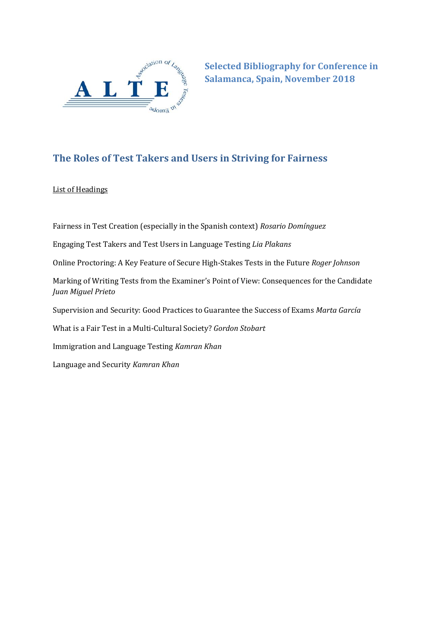

**Selected Bibliography for Conference in Salamanca, Spain, November 2018**

# **The Roles of Test Takers and Users in Striving for Fairness**

List of Headings

Fairness in Test Creation (especially in the Spanish context) *Rosario Domínguez*

Engaging Test Takers and Test Users in Language Testing *Lia Plakans*

Online Proctoring: A Key Feature of Secure High-Stakes Tests in the Future *Roger Johnson*

Marking of Writing Tests from the Examiner's Point of View: Consequences for the Candidate *Juan Miguel Prieto*

Supervision and Security: Good Practices to Guarantee the Success of Exams *Marta García*

What is a Fair Test in a Multi-Cultural Society? *Gordon Stobart*

Immigration and Language Testing *Kamran Khan*

Language and Security *Kamran Khan*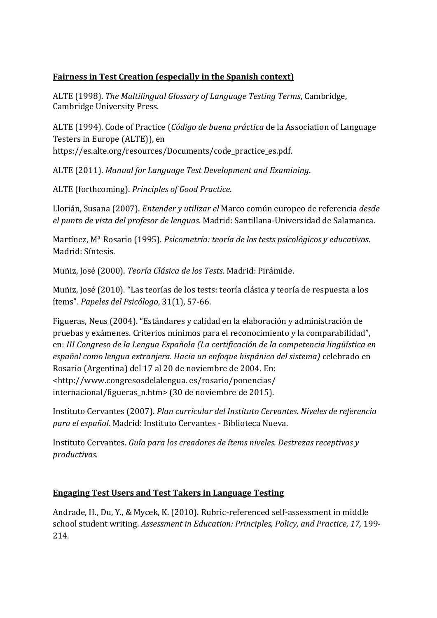## **Fairness in Test Creation (especially in the Spanish context)**

ALTE (1998). *The Multilingual Glossary of Language Testing Terms*, Cambridge, Cambridge University Press.

ALTE (1994). Code of Practice (*Código de buena práctica* de la Association of Language Testers in Europe (ALTE)), en https://es.alte.org/resources/Documents/code\_practice\_es.pdf.

ALTE (2011). *Manual for Language Test Development and Examining*.

ALTE (forthcoming). *Principles of Good Practice*.

Llorián, Susana (2007). *Entender y utilizar el* Marco común europeo de referencia *desde el punto de vista del profesor de lenguas*. Madrid: Santillana-Universidad de Salamanca.

Martínez, Mª Rosario (1995). *Psicometría: teoría de los tests psicológicos y educativos*. Madrid: Síntesis.

Muñiz, José (2000). *Teoría Clásica de los Tests*. Madrid: Pirámide.

Muñiz, José (2010). "Las teorías de los tests: teoría clásica y teoría de respuesta a los ítems". *Papeles del Psicólogo*, 31(1), 57-66.

Figueras, Neus (2004). "Estándares y calidad en la elaboración y administración de pruebas y exámenes. Criterios mínimos para el reconocimiento y la comparabilidad", en: *III Congreso de la Lengua Española (La certificación de la competencia lingüística en español como lengua extranjera. Hacia un enfoque hispánico del sistema)* celebrado en Rosario (Argentina) del 17 al 20 de noviembre de 2004. En: <http://www.congresosdelalengua. es/rosario/ponencias/ internacional/figueras n.htm> (30 de noviembre de 2015).

Instituto Cervantes (2007). *Plan curricular del Instituto Cervantes. Niveles de referencia para el español.* Madrid: Instituto Cervantes - Biblioteca Nueva.

Instituto Cervantes. *Guía para los creadores de ítems niveles. Destrezas receptivas y productivas.* 

### **Engaging Test Users and Test Takers in Language Testing**

Andrade, H., Du, Y., & Mycek, K. (2010). Rubric-referenced self-assessment in middle school student writing. *Assessment in Education: Principles, Policy, and Practice, 17,* 199- 214.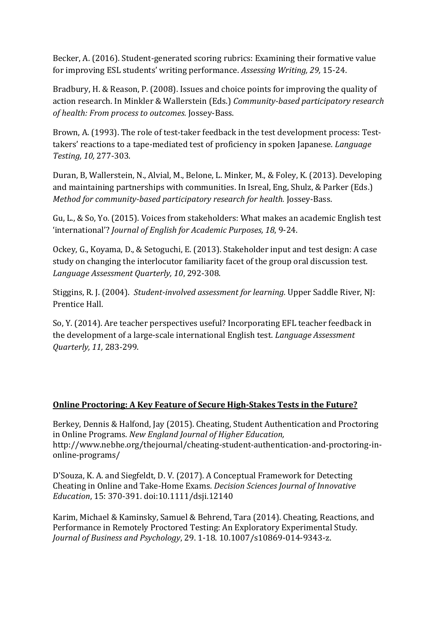Becker, A. (2016). Student-generated scoring rubrics: Examining their formative value for improving ESL students' writing performance. *Assessing Writing, 29,* 15-24.

Bradbury, H. & Reason, P. (2008). Issues and choice points for improving the quality of action research. In Minkler & Wallerstein (Eds.) *Community-based participatory research of health: From process to outcomes.* Jossey-Bass.

Brown, A. (1993). The role of test-taker feedback in the test development process: Testtakers' reactions to a tape-mediated test of proficiency in spoken Japanese. *Language Testing, 10,* 277-303.

Duran, B, Wallerstein, N., Alvial, M., Belone, L. Minker, M., & Foley, K. (2013). Developing and maintaining partnerships with communities. In Isreal, Eng, Shulz, & Parker (Eds.) *Method for community-based participatory research for health.* Jossey-Bass.

Gu, L., & So, Yo. (2015). Voices from stakeholders: What makes an academic English test 'international'? *Journal of English for Academic Purposes, 18*, 9-24.

Ockey, G., Koyama, D., & Setoguchi, E. (2013). Stakeholder input and test design: A case study on changing the interlocutor familiarity facet of the group oral discussion test. *Language Assessment Quarterly, 10*, 292-308.

Stiggins, R. J. (2004). *Student-involved assessment for learning.* Upper Saddle River, NJ: Prentice Hall.

So, Y. (2014). Are teacher perspectives useful? Incorporating EFL teacher feedback in the development of a large-scale international English test. *Language Assessment Quarterly, 11,* 283-299.

### **Online Proctoring: A Key Feature of Secure High-Stakes Tests in the Future?**

Berkey, Dennis & Halfond, Jay (2015). Cheating, Student Authentication and Proctoring in Online Programs. *New England Journal of Higher Education,* [http://www.nebhe.org/thejournal/cheating-student-authentication-and-proctoring-in](http://www.nebhe.org/thejournal/cheating-student-authentication-and-proctoring-in-online-programs/)[online-programs/](http://www.nebhe.org/thejournal/cheating-student-authentication-and-proctoring-in-online-programs/)

D'Souza, K. A. and Siegfeldt, D. V. (2017). A Conceptual Framework for Detecting Cheating in Online and Take‐Home Exams. *Decision Sciences Journal of Innovative Education*, 15: 370-391. doi[:10.1111/dsji.12140](https://doi.org/10.1111/dsji.12140)

Karim, Michael & Kaminsky, Samuel & Behrend, Tara (2014). Cheating, Reactions, and Performance in Remotely Proctored Testing: An Exploratory Experimental Study. *Journal of Business and Psychology*, 29. 1-18. 10.1007/s10869-014-9343-z.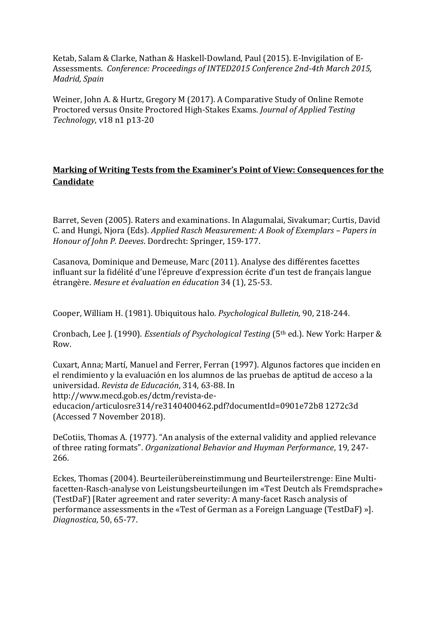Ketab, Salam & Clarke, Nathan & Haskell-Dowland, Paul (2015). E-Invigilation of E-Assessments. *Conference: Proceedings of INTED2015 Conference 2nd-4th March 2015, Madrid, Spain*

Weiner, John A. & Hurtz, Gregory M (2017). A Comparative Study of Online Remote Proctored versus Onsite Proctored High-Stakes Exams. *Journal of Applied Testing Technology*, v18 n1 p13-20

## **Marking of Writing Tests from the Examiner's Point of View: Consequences for the Candidate**

Barret, Seven (2005). Raters and examinations. In Alagumalai, Sivakumar; Curtis, David C. and Hungi, Njora (Eds). *Applied Rasch Measurement: A Book of Exemplars – Papers in Honour of John P. Deeves*. Dordrecht: Springer, 159-177.

Casanova, Dominique and Demeuse, Marc (2011). Analyse des différentes facettes influant sur la fidélité d'une l'épreuve d'expression écrite d'un test de français langue étrangère. *Mesure et évaluation en éducation* 34 (1), 25-53.

Cooper, William H. (1981). Ubiquitous halo. *Psychological Bulletin,* 90, 218-244.

Cronbach, Lee J. (1990). *Essentials of Psychological Testing* (5th ed.). New York: Harper & Row.

Cuxart, Anna; Martí, Manuel and Ferrer, Ferran (1997). Algunos factores que inciden en el rendimiento y la evaluación en los alumnos de las pruebas de aptitud de acceso a la universidad. *Revista de Educación*, 314, 63-88. In http://www.mecd.gob.es/dctm/revista-deeducacion/articulosre314/re3140400462.pdf?documentId=0901e72b8 1272c3d (Accessed 7 November 2018).

DeCotiis, Thomas A. (1977). "An analysis of the external validity and applied relevance of three rating formats". *Organizational Behavior and Huyman Performance*, 19, 247- 266.

Eckes, Thomas (2004). Beurteilerübereinstimmung und Beurteilerstrenge: Eine Multifacetten-Rasch-analyse von Leistungsbeurteilungen im «Test Deutch als Fremdsprache» (TestDaF) [Rater agreement and rater severity: A many-facet Rasch analysis of performance assessments in the «Test of German as a Foreign Language (TestDaF) »]. *Diagnostica*, 50, 65-77.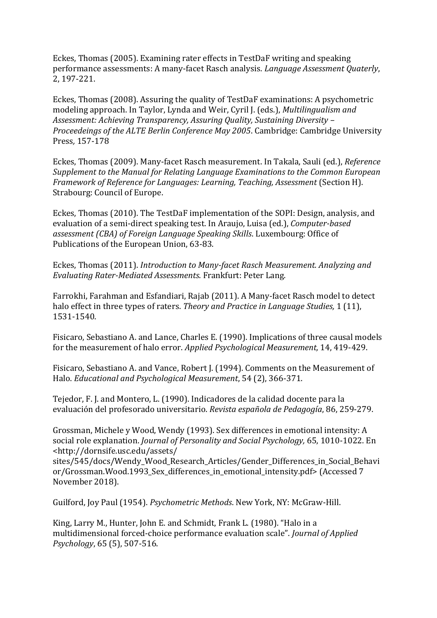Eckes, Thomas (2005). Examining rater effects in TestDaF writing and speaking performance assessments: A many-facet Rasch analysis. *Language Assessment Quaterly*, 2, 197-221.

Eckes, Thomas (2008). Assuring the quality of TestDaF examinations: A psychometric modeling approach. In Taylor, Lynda and Weir, Cyril J. (eds.), *Multilingualism and Assessment: Achieving Transparency, Assuring Quality, Sustaining Diversity – Proceedeings of the ALTE Berlin Conference May 2005*. Cambridge: Cambridge University Press*,* 157-178

Eckes, Thomas (2009). Many-facet Rasch measurement. In Takala, Sauli (ed.), *Reference Supplement to the Manual for Relating Language Examinations to the Common European Framework of Reference for Languages: Learning, Teaching, Assessment (Section H).* Strabourg: Council of Europe.

Eckes, Thomas (2010). The TestDaF implementation of the SOPI: Design, analysis, and evaluation of a semi-direct speaking test. In Araujo, Luisa (ed.), *Computer-based assessment (CBA) of Foreign Language Speaking Skills*. Luxembourg: Office of Publications of the European Union, 63-83.

Eckes, Thomas (2011). *Introduction to Many-facet Rasch Measurement. Analyzing and Evaluating Rater-Mediated Assessments*. Frankfurt: Peter Lang.

Farrokhi, Farahman and Esfandiari, Rajab (2011). A Many-facet Rasch model to detect halo effect in three types of raters. *Theory and Practice in Language Studies,* 1 (11), 1531-1540.

Fisicaro, Sebastiano A. and Lance, Charles E. (1990). Implications of three causal models for the measurement of halo error. *Applied Psychological Measurement,* 14, 419-429.

Fisicaro, Sebastiano A. and Vance, Robert J. (1994). Comments on the Measurement of Halo. *Educational and Psychological Measurement*, 54 (2), 366-371.

Tejedor, F. J. and Montero, L. (1990). Indicadores de la calidad docente para la evaluación del profesorado universitario. *Revista española de Pedagogía*, 86, 259-279.

Grossman, Michele y Wood, Wendy (1993). Sex differences in emotional intensity: A social role explanation. *Journal of Personality and Social Psychology,* 65, 1010-1022. En <http://dornsife.usc.edu/assets/

sites/545/docs/Wendy\_Wood\_Research\_Articles/Gender\_Differences\_in\_Social\_Behavi or/Grossman.Wood.1993 Sex differences in emotional intensity.pdf> (Accessed 7 November 2018).

Guilford, Joy Paul (1954). *Psychometric Methods*. New York, NY: McGraw-Hill.

King, Larry M., Hunter, John E. and Schmidt, Frank L. (1980). "Halo in a multidimensional forced-choice performance evaluation scale". *Journal of Applied Psychology*, 65 (5), 507-516.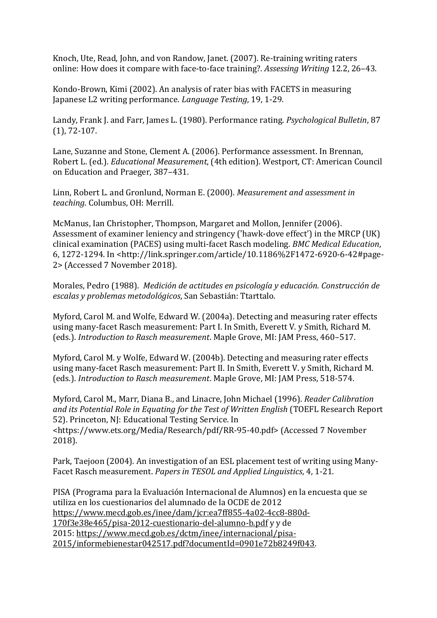Knoch, Ute, Read, John, and von Randow, Janet. (2007). Re-training writing raters online: How does it compare with face-to-face training?. *Assessing Writing* 12.2, 26–43.

Kondo-Brown, Kimi (2002). An analysis of rater bias with FACETS in measuring Japanese L2 writing performance. *Language Testing*, 19, 1-29.

Landy, Frank J. and Farr, James L. (1980). Performance rating. *Psychological Bulletin*, 87 (1), 72-107.

Lane, Suzanne and Stone, Clement A. (2006). Performance assessment. In Brennan, Robert L. (ed.). *Educational Measurement*, (4th edition). Westport, CT: American Council on Education and Praeger, 387–431.

Linn, Robert L. and Gronlund, Norman E. (2000). *Measurement and assessment in teaching*. Columbus, OH: Merrill.

McManus, Ian Christopher, Thompson, Margaret and Mollon, Jennifer (2006). Assessment of examiner leniency and stringency ('hawk-dove effect') in the MRCP (UK) clinical examination (PACES) using multi-facet Rasch modeling. *BMC Medical Education*, 6, 1272-1294. In <http://link.springer.com/article/10.1186%2F1472-6920-6-42#page-2> (Accessed 7 November 2018).

Morales, Pedro (1988). *Medición de actitudes en psicología y educación. Construcción de escalas y problemas metodológicos*, San Sebastián: Ttarttalo.

Myford, Carol M. and Wolfe, Edward W. (2004a). Detecting and measuring rater effects using many-facet Rasch measurement: Part I. In Smith, Everett V. y Smith, Richard M. (eds.). *Introduction to Rasch measurement*. Maple Grove, MI: JAM Press, 460–517.

Myford, Carol M. y Wolfe, Edward W. (2004b). Detecting and measuring rater effects using many-facet Rasch measurement: Part II. In Smith, Everett V. y Smith, Richard M. (eds.). *Introduction to Rasch measurement*. Maple Grove, MI: JAM Press, 518-574.

Myford, Carol M., Marr, Diana B., and Linacre, John Michael (1996). *Reader Calibration and its Potential Role in Equating for the Test of Written English* (TOEFL Research Report 52). Princeton, NJ: Educational Testing Service. In <https://www.ets.org/Media/Research/pdf/RR-95-40.pdf> (Accessed 7 November 2018).

Park, Taejoon (2004). An investigation of an ESL placement test of writing using Many-Facet Rasch measurement. *Papers in TESOL and Applied Linguistics*, 4, 1-21.

PISA (Programa para la Evaluación Internacional de Alumnos) en la encuesta que se utiliza en los cuestionarios del alumnado de la OCDE de 2012 [https://www.mecd.gob.es/inee/dam/jcr:ea7ff855-4a02-4cc8-880d-](https://www.mecd.gob.es/inee/dam/jcr:ea7ff855-4a02-4cc8-880d-170f3e38e465/pisa-2012-cuestionario-del-alumno-b.pdf)[170f3e38e465/pisa-2012-cuestionario-del-alumno-b.pdf](https://www.mecd.gob.es/inee/dam/jcr:ea7ff855-4a02-4cc8-880d-170f3e38e465/pisa-2012-cuestionario-del-alumno-b.pdf) y y de 2015: [https://www.mecd.gob.es/dctm/inee/internacional/pisa-](https://www.mecd.gob.es/dctm/inee/internacional/pisa-2015/informebienestar042517.pdf?documentId=0901e72b8249f043)[2015/informebienestar042517.pdf?documentId=0901e72b8249f043.](https://www.mecd.gob.es/dctm/inee/internacional/pisa-2015/informebienestar042517.pdf?documentId=0901e72b8249f043)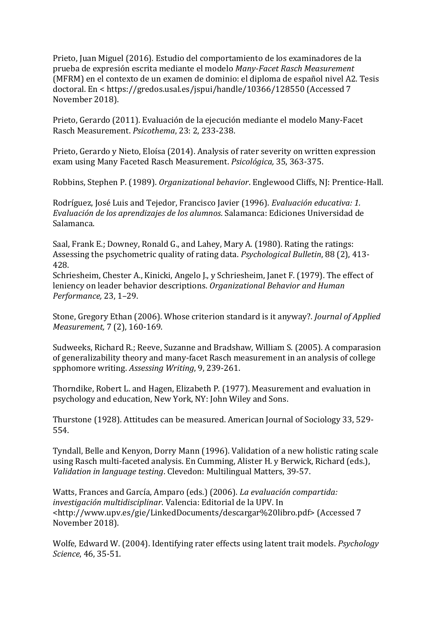Prieto, Juan Miguel (2016). Estudio del comportamiento de los examinadores de la prueba de expresión escrita mediante el modelo *Many-Facet Rasch Measurement* (MFRM) en el contexto de un examen de dominio: el diploma de español nivel A2. Tesis doctoral. En < https://gredos.usal.es/jspui/handle/10366/128550 (Accessed 7 November 2018).

Prieto, Gerardo (2011). Evaluación de la ejecución mediante el modelo Many-Facet Rasch Measurement. *Psicothema*, 23: 2, 233-238.

Prieto, Gerardo y Nieto, Eloísa (2014). Analysis of rater severity on written expression exam using Many Faceted Rasch Measurement. *Psicológica,* 35, 363-375.

Robbins, Stephen P. (1989). *Organizational behavior*. Englewood Cliffs, NJ: Prentice-Hall.

Rodríguez, José Luis and Tejedor, Francisco Javier (1996). *Evaluación educativa: 1. Evaluación de los aprendizajes de los alumnos*. Salamanca: Ediciones Universidad de Salamanca.

Saal, Frank E.; Downey, Ronald G., and Lahey, Mary A. (1980). Rating the ratings: Assessing the psychometric quality of rating data. *Psychological Bulletin*, 88 (2), 413- 428.

Schriesheim, Chester A., Kinicki, Angelo J., y Schriesheim, Janet F. (1979). The effect of leniency on leader behavior descriptions. *Organizational Behavior and Human Performance,* 23, 1–29.

Stone, Gregory Ethan (2006). Whose criterion standard is it anyway?. *Journal of Applied Measurement,* 7 (2), 160-169.

Sudweeks, Richard R.; Reeve, Suzanne and Bradshaw, William S. (2005). A comparasion of generalizability theory and many-facet Rasch measurement in an analysis of college spphomore writing. *Assessing Writing*, 9, 239-261.

Thorndike, Robert L. and Hagen, Elizabeth P. (1977). Measurement and evaluation in psychology and education, New York, NY: John Wiley and Sons.

Thurstone (1928). Attitudes can be measured. American Journal of Sociology 33, 529- 554.

Tyndall, Belle and Kenyon, Dorry Mann (1996). Validation of a new holistic rating scale using Rasch multi-faceted analysis. En Cumming, Alister H. y Berwick, Richard (eds.), *Validation in language testing*. Clevedon: Multilingual Matters, 39-57.

Watts, Frances and García, Amparo (eds.) (2006). *La evaluación compartida: investigación multidisciplinar*. Valencia: Editorial de la UPV. In <http://www.upv.es/gie/LinkedDocuments/descargar%20libro.pdf> (Accessed 7 November 2018).

Wolfe, Edward W. (2004). Identifying rater effects using latent trait models. *Psychology Science*, 46, 35-51.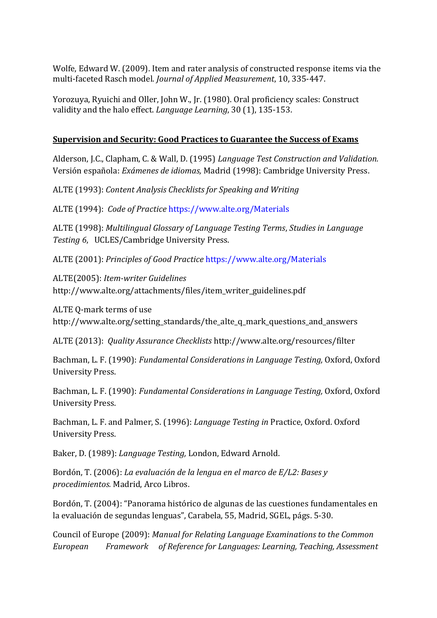Wolfe, Edward W. (2009). Item and rater analysis of constructed response items via the multi-faceted Rasch model. *Journal of Applied Measurement*, 10, 335-447.

Yorozuya, Ryuichi and Oller, John W., Jr. (1980). Oral proficiency scales: Construct validity and the halo effect. *Language Learning*, 30 (1), 135-153.

#### **Supervision and Security: Good Practices to Guarantee the Success of Exams**

Alderson, J.C., Clapham, C. & Wall, D. (1995) *Language Test Construction and Validation.*  Versión española: *Exámenes de idiomas,* Madrid (1998): Cambridge University Press.

ALTE (1993): *Content Analysis Checklists for Speaking and Writing* 

ALTE (1994): *Code of Practice* <https://www.alte.org/Materials>

ALTE (1998): *Multilingual Glossary of Language Testing Terms*, *Studies in Language Testing 6*, UCLES/Cambridge University Press.

ALTE (2001): *Principles of Good Practice* <https://www.alte.org/Materials>

ALTE(2005): *Item-writer Guidelines*  http://www.alte.org/attachments/files/item\_writer\_guidelines.pdf

ALTE Q-mark terms of use http://www.alte.org/setting\_standards/the\_alte\_q\_mark\_questions\_and\_answers

ALTE (2013): *Quality Assurance Checklists* http://www.alte.org/resources/filter

Bachman, L. F. (1990): *Fundamental Considerations in Language Testing,* Oxford, Oxford University Press.

Bachman, L. F. (1990): *Fundamental Considerations in Language Testing,* Oxford, Oxford University Press.

Bachman, L. F. and Palmer, S. (1996): *Language Testing in* Practice, Oxford. Oxford University Press.

Baker, D. (1989): *Language Testing,* London, Edward Arnold.

Bordón, T. (2006): *La evaluación de la lengua en el marco de E/L2: Bases y procedimientos.* Madrid, Arco Libros.

Bordón, T. (2004): "Panorama histórico de algunas de las cuestiones fundamentales en la evaluación de segundas lenguas", Carabela, 55, Madrid, SGEL, págs. 5-30.

Council of Europe (2009): *Manual for Relating Language Examinations to the Common European Framework of Reference for Languages: Learning, Teaching, Assessment*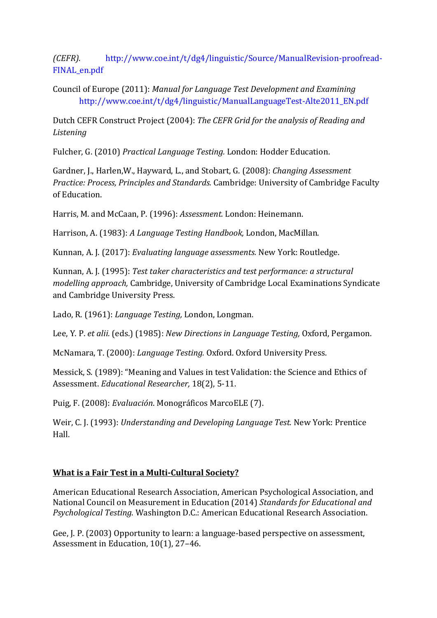*(CEFR).* [http://www.coe.int/t/dg4/linguistic/Source/ManualRevision-proofread-](http://www.coe.int/t/dg4/linguistic/Source/ManualRevision-proofread-FINAL_en.pdf)[FINAL\\_en.pdf](http://www.coe.int/t/dg4/linguistic/Source/ManualRevision-proofread-FINAL_en.pdf)

Council of Europe (2011): *Manual for Language Test Development and Examining* [http://www.coe.int/t/dg4/linguistic/ManualLanguageTest-Alte2011\\_EN.pdf](http://www.coe.int/t/dg4/linguistic/ManualLanguageTest-Alte2011_EN.pdf)

Dutch CEFR Construct Project (2004): *The CEFR Grid for the analysis of Reading and Listening*

Fulcher, G. (2010) *Practical Language Testing.* London: Hodder Education.

Gardner, J., Harlen,W., Hayward, L., and Stobart, G. (2008): *Changing Assessment Practice: Process, Principles and Standards.* Cambridge: University of Cambridge Faculty of Education.

Harris, M. and McCaan, P. (1996): *Assessment.* London: Heinemann.

Harrison, A. (1983): *A Language Testing Handbook,* London, MacMillan.

Kunnan, A. J. (2017): *Evaluating language assessments.* New York: Routledge.

Kunnan, A. J. (1995): *Test taker characteristics and test performance: a structural modelling approach,* Cambridge, University of Cambridge Local Examinations Syndicate and Cambridge University Press.

Lado, R. (1961): *Language Testing,* London, Longman.

Lee, Y. P. *et alii.* (eds.) (1985): *New Directions in Language Testing,* Oxford, Pergamon.

McNamara, T. (2000): *Language Testing.* Oxford. Oxford University Press.

Messick, S. (1989): "Meaning and Values in test Validation: the Science and Ethics of Assessment. *Educational Researcher,* 18(2), 5-11.

Puig, F. (2008): *Evaluación*. Monográficos MarcoELE (7).

Weir, C. J. (1993): *Understanding and Developing Language Test.* New York: Prentice Hall.

### **What is a Fair Test in a Multi-Cultural Society?**

American Educational Research Association, American Psychological Association, and National Council on Measurement in Education (2014) *Standards for Educational and Psychological Testing.* Washington D.C.: American Educational Research Association.

Gee, J. P. (2003) Opportunity to learn: a language-based perspective on assessment, Assessment in Education, 10(1), 27–46.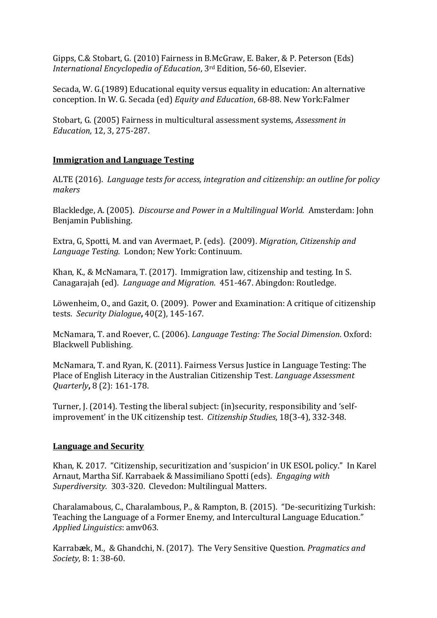Gipps, C.& Stobart, G. (2010) Fairness in B.McGraw, E. Baker, & P. Peterson (Eds) *International Encyclopedia of Education*, 3rd Edition, 56-60, Elsevier.

Secada, W. G.(1989) Educational equity versus equality in education: An alternative conception. In W. G. Secada (ed) *Equity and Education*, 68-88. New York:Falmer

Stobart, G. (2005) Fairness in multicultural assessment systems, *Assessment in Education,* 12, 3, 275-287.

#### **Immigration and Language Testing**

ALTE (2016). *Language tests for access, integration and citizenship: an outline for policy makers*

Blackledge, A. (2005). *Discourse and Power in a Multilingual World.* Amsterdam: John Benjamin Publishing.

Extra, G, Spotti, M. and van Avermaet, P. (eds). (2009). *Migration, Citizenship and Language Testing.* London; New York: Continuum.

Khan, K., & McNamara, T. (2017). Immigration law, citizenship and testing. In S. Canagarajah (ed). *Language and Migration.* 451-467. Abingdon: Routledge.

Löwenheim, O., and Gazit, O. (2009). Power and Examination: A critique of citizenship tests. *Security Dialogue***,** 40(2), 145-167.

McNamara, T. and Roever, C. (2006). *Language Testing: The Social Dimension.* Oxford: Blackwell Publishing.

McNamara, T. and Ryan, K. (2011). Fairness Versus Justice in Language Testing: The Place of English Literacy in the Australian Citizenship Test. *Language Assessment Quarterly***,** 8 (2): 161-178.

Turner, J. (2014). Testing the liberal subject: (in)security, responsibility and 'selfimprovement' in the UK citizenship test. *Citizenship Studies*, 18(3-4), 332-348.

#### **Language and Security**

Khan, K. 2017. "Citizenship, securitization and 'suspicion' in UK ESOL policy." In Karel Arnaut, Martha Sif. Karrabaek & Massimiliano Spotti (eds). *Engaging with Superdiversity.* 303-320. Clevedon: Multilingual Matters.

Charalamabous, C., Charalambous, P., & Rampton, B. (2015). "De-securitizing Turkish: Teaching the Language of a Former Enemy, and Intercultural Language Education." *Applied Linguistics*: amv063.

Karrab**æ**k, M., & Ghandchi, N. (2017). The Very Sensitive Question. *Pragmatics and Society,* 8: 1: 38-60.